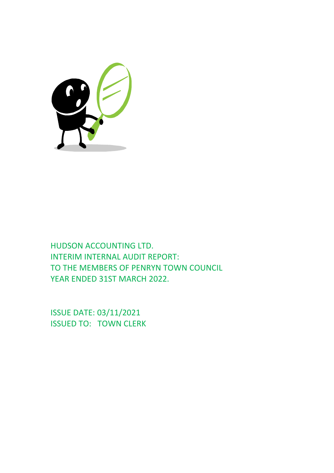

HUDSON ACCOUNTING LTD. INTERIM INTERNAL AUDIT REPORT: TO THE MEMBERS OF PENRYN TOWN COUNCIL YEAR ENDED 31ST MARCH 2022.

ISSUE DATE: 03/11/2021 ISSUED TO: TOWN CLERK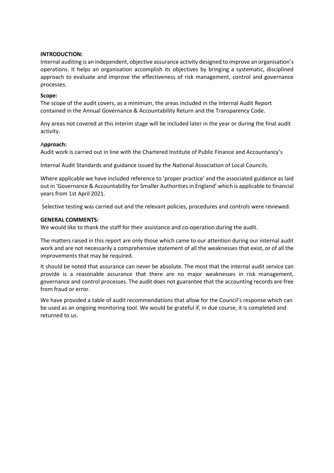# **INTRODUCTION:**

Internal auditing is an independent, objective assurance activity designed to improve an organisation's operations. It helps an organisation accomplish its objectives by bringing a systematic, disciplined approach to evaluate and improve the effectiveness of risk management, control and governance processes.

# **Scope:**

The scope of the audit covers, as a minimum, the areas included in the Internal Audit Report contained in the Annual Governance & Accountability Return and the Transparency Code.

Any areas not covered at this interim stage will be included later in the year or during the final audit activity.

### A**pproach:**

Audit work is carried out in line with the Chartered Institute of Public Finance and Accountancy's

Internal Audit Standards and guidance issued by the National Association of Local Councils.

Where applicable we have included reference to 'proper practice' and the associated guidance as laid out in 'Governance & Accountability for Smaller Authorities in England' which is applicable to financial years from 1st April 2021.

Selective testing was carried out and the relevant policies, procedures and controls were reviewed.

### **GENERAL COMMENTS:**

We would like to thank the staff for their assistance and co-operation during the audit.

The matters raised in this report are only those which came to our attention during our internal audit work and are not necessarily a comprehensive statement of all the weaknesses that exist, or of all the improvements that may be required.

It should be noted that assurance can never be absolute. The most that the internal audit service can provide is a reasonable assurance that there are no major weaknesses in risk management, governance and control processes. The audit does not guarantee that the accounting records are free from fraud or error.

We have provided a table of audit recommendations that allow for the Council's response which can be used as an ongoing monitoring tool. We would be grateful if, in due course, it is completed and returned to us.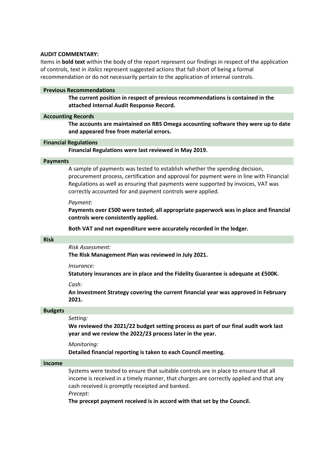### **AUDIT COMMENTARY:**

Items in **bold text** within the body of the report represent our findings in respect of the application of controls, text in *italics* represent suggested actions that fall short of being a formal recommendation or do not necessarily pertain to the application of internal controls.

### **Previous Recommendations**

**The current position in respect of previous recommendations is contained in the attached Internal Audit Response Record.**

### **Accounting Records**

**The accounts are maintained on RBS Omega accounting software they were up to date and appeared free from material errors.**

### **Financial Regulations**

**Financial Regulations were last reviewed in May 2019.**

### **Payments**

A sample of payments was tested to establish whether the spending decision, procurement process, certification and approval for payment were in line with Financial Regulations as well as ensuring that payments were supported by invoices, VAT was correctly accounted for and payment controls were applied.

### *Payment:*

**Payments over £500 were tested; all appropriate paperwork was in place and financial controls were consistently applied.**

**Both VAT and net expenditure were accurately recorded in the ledger.**

### **Risk**

# *Risk Assessment:*

**The Risk Management Plan was reviewed in July 2021.**

*Insurance:*

**Statutory insurances are in place and the Fidelity Guarantee is adequate at £500K.**

*Cash:*

**An Investment Strategy covering the current financial year was approved in February 2021.**

### **Budgets**

# *Setting:*

**We reviewed the 2021/22 budget setting process as part of our final audit work last year and we review the 2022/23 process later in the year.**

*Monitoring:*

**Detailed financial reporting is taken to each Council meeting.**

### **Income**

Systems were tested to ensure that suitable controls are in place to ensure that all income is received in a timely manner, that charges are correctly applied and that any cash received is promptly receipted and banked.

*Precept:*

**The precept payment received is in accord with that set by the Council.**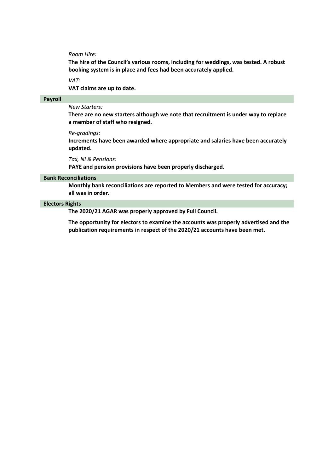#### *Room Hire:*

**The hire of the Council's various rooms, including for weddings, was tested. A robust booking system is in place and fees had been accurately applied.**

#### *VAT:*

**VAT claims are up to date.**

## **Payroll**

# *New Starters:*

**There are no new starters although we note that recruitment is under way to replace a member of staff who resigned.**

#### *Re-gradings:*

**Increments have been awarded where appropriate and salaries have been accurately updated.**

#### *Tax, NI & Pensions:*

**PAYE and pension provisions have been properly discharged.**

#### **Bank Reconciliations**

**Monthly bank reconciliations are reported to Members and were tested for accuracy; all was in order.**

### **Electors Rights**

**The 2020/21 AGAR was properly approved by Full Council.**

**The opportunity for electors to examine the accounts was properly advertised and the publication requirements in respect of the 2020/21 accounts have been met.**